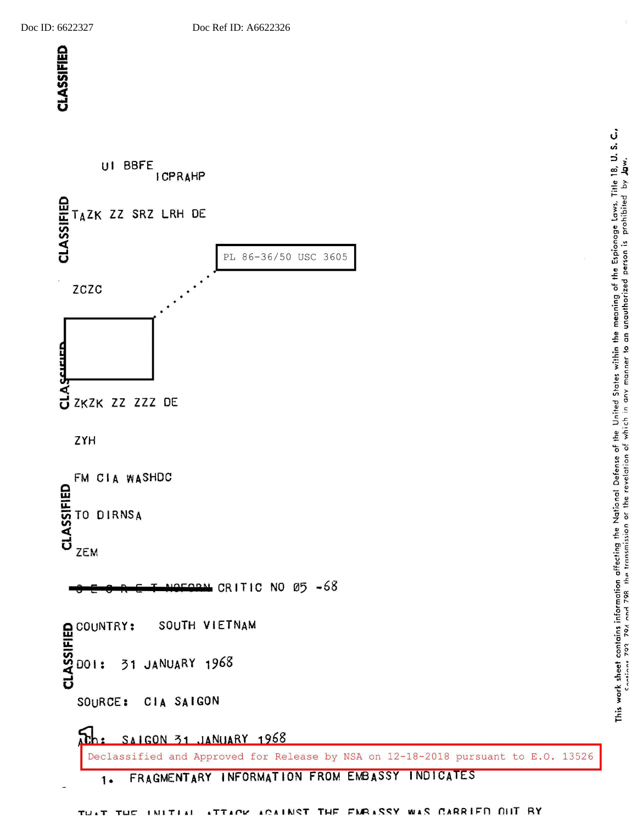

FMRASSY WAS CARRIED OUT BY ATTACK ACAINST THE  $\blacksquare$  <br> T  $TLC$ IMITIAL TU